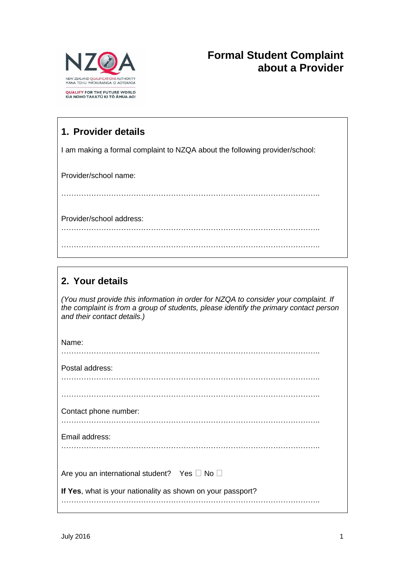

# **Formal Student Complaint about a Provider**

## **1. Provider details**

I am making a formal complaint to NZQA about the following provider/school:

Provider/school name:

…………………………………………………………………………………………..

Provider/school address:

…………………………………………………………………………………………..

…………………………………………………………………………………………..

### **2. Your details**

*(You must provide this information in order for NZQA to consider your complaint. If the complaint is from a group of students, please identify the primary contact person and their contact details.)*

| Name:                                                       |
|-------------------------------------------------------------|
| Postal address:                                             |
| Contact phone number:                                       |
| Email address:                                              |
| Are you an international student? Yes □ No □                |
| If Yes, what is your nationality as shown on your passport? |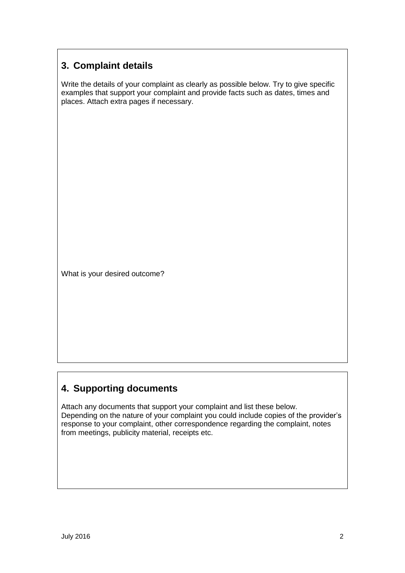### **3. Complaint details**

Write the details of your complaint as clearly as possible below. Try to give specific examples that support your complaint and provide facts such as dates, times and places. Attach extra pages if necessary.

What is your desired outcome?

#### **4. Supporting documents**

Attach any documents that support your complaint and list these below. Depending on the nature of your complaint you could include copies of the provider's response to your complaint, other correspondence regarding the complaint, notes from meetings, publicity material, receipts etc.